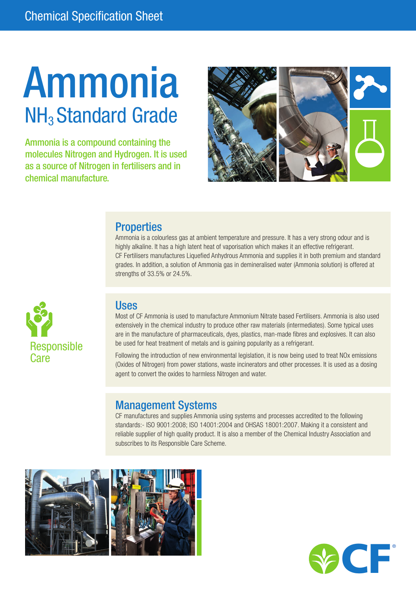# Ammonia NH<sub>3</sub> Standard Grade

Ammonia is a compound containing the molecules Nitrogen and Hydrogen. It is used as a source of Nitrogen in fertilisers and in chemical manufacture.



#### **Properties**

Ammonia is a colourless gas at ambient temperature and pressure. It has a very strong odour and is highly alkaline. It has a high latent heat of vaporisation which makes it an effective refrigerant. CF Fertilisers manufactures Liquefied Anhydrous Ammonia and supplies it in both premium and standard grades. In addition, a solution of Ammonia gas in demineralised water (Ammonia solution) is offered at strengths of 33.5% or 24.5%.



#### Uses

Most of CF Ammonia is used to manufacture Ammonium Nitrate based Fertilisers. Ammonia is also used extensively in the chemical industry to produce other raw materials (intermediates). Some typical uses are in the manufacture of pharmaceuticals, dyes, plastics, man-made fibres and explosives. It can also be used for heat treatment of metals and is gaining popularity as a refrigerant.

Following the introduction of new environmental legislation, it is now being used to treat NOx emissions (Oxides of Nitrogen) from power stations, waste incinerators and other processes. It is used as a dosing agent to convert the oxides to harmless Nitrogen and water.

#### Management Systems

CF manufactures and supplies Ammonia using systems and processes accredited to the following standards:- ISO 9001:2008; ISO 14001:2004 and OHSAS 18001:2007. Making it a consistent and reliable supplier of high quality product. It is also a member of the Chemical Industry Association and subscribes to its Responsible Care Scheme.